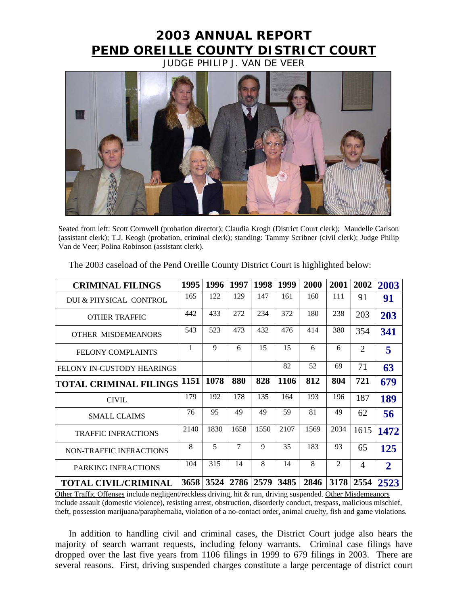## **2003 ANNUAL REPORT PEND OREILLE COUNTY DISTRICT COURT**

JUDGE PHILIP J. VAN DE VEER



Seated from left: Scott Cornwell (probation director); Claudia Krogh (District Court clerk); Maudelle Carlson (assistant clerk); T.J. Keogh (probation, criminal clerk); standing: Tammy Scribner (civil clerk); Judge Philip Van de Veer; Polina Robinson (assistant clerk).

| <b>CRIMINAL FILINGS</b>           | 1995 | 1996 | 1997 | 1998 | 1999 | 2000 | 2001           | 2002           | 2003           |
|-----------------------------------|------|------|------|------|------|------|----------------|----------------|----------------|
| DUI & PHYSICAL CONTROL            | 165  | 122  | 129  | 147  | 161  | 160  | 111            | 91             | 91             |
| <b>OTHER TRAFFIC</b>              | 442  | 433  | 272  | 234  | 372  | 180  | 238            | 203            | 203            |
| <b>OTHER MISDEMEANORS</b>         | 543  | 523  | 473  | 432  | 476  | 414  | 380            | 354            | 341            |
| <b>FELONY COMPLAINTS</b>          | 1    | 9    | 6    | 15   | 15   | 6    | 6              | 2              | 5              |
| <b>FELONY IN-CUSTODY HEARINGS</b> |      |      |      |      | 82   | 52   | 69             | 71             | 63             |
| TOTAL CRIMINAL FILINGS  1151      |      | 1078 | 880  | 828  | 1106 | 812  | 804            | 721            | 679            |
| <b>CIVIL</b>                      | 179  | 192  | 178  | 135  | 164  | 193  | 196            | 187            | 189            |
| <b>SMALL CLAIMS</b>               | 76   | 95   | 49   | 49   | 59   | 81   | 49             | 62             | 56             |
| <b>TRAFFIC INFRACTIONS</b>        | 2140 | 1830 | 1658 | 1550 | 2107 | 1569 | 2034           | 1615           | 1472           |
| NON-TRAFFIC INFRACTIONS           | 8    | 5    | 7    | 9    | 35   | 183  | 93             | 65             | 125            |
| PARKING INFRACTIONS               | 104  | 315  | 14   | 8    | 14   | 8    | $\mathfrak{D}$ | $\overline{A}$ | $\overline{2}$ |
| <b>TOTAL CIVIL/CRIMINAL</b>       | 3658 | 3524 | 2786 | 2579 | 3485 | 2846 | 3178           | 2554           | 2523           |

The 2003 caseload of the Pend Oreille County District Court is highlighted below:

Other Traffic Offenses include negligent/reckless driving, hit & run, driving suspended. Other Misdemeanors include assault (domestic violence), resisting arrest, obstruction, disorderly conduct, trespass, malicious mischief, theft, possession marijuana/paraphernalia, violation of a no-contact order, animal cruelty, fish and game violations.

In addition to handling civil and criminal cases, the District Court judge also hears the majority of search warrant requests, including felony warrants. Criminal case filings have dropped over the last five years from 1106 filings in 1999 to 679 filings in 2003. There are several reasons. First, driving suspended charges constitute a large percentage of district court